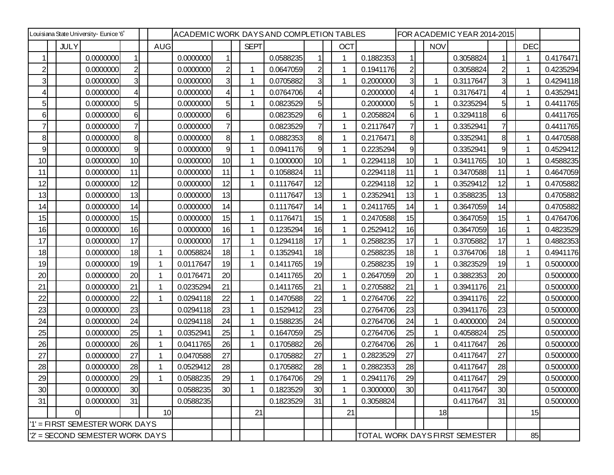| Louisiana State University- Eunice '6' |             |                                |                |  |            | ACADEMIC WORK DAYSAND COMPLETION TABLES |                |              |           |                |  | FOR ACADEMIC YEAR 2014-2015 |           |                |  |             |                                |                |  |            |           |
|----------------------------------------|-------------|--------------------------------|----------------|--|------------|-----------------------------------------|----------------|--------------|-----------|----------------|--|-----------------------------|-----------|----------------|--|-------------|--------------------------------|----------------|--|------------|-----------|
|                                        | <b>JULY</b> |                                |                |  | <b>AUG</b> |                                         |                | <b>SEPT</b>  |           |                |  | <b>OCT</b>                  |           |                |  | <b>NOV</b>  |                                |                |  | <b>DEC</b> |           |
|                                        |             | 0.0000000                      |                |  |            | 0.0000000                               | 1              |              | 0.0588235 |                |  |                             | 0.1882353 | 1              |  |             | 0.3058824                      |                |  |            | 0.4176471 |
| $\overline{c}$                         |             | 0.0000000                      | $\overline{2}$ |  |            | 0.0000000                               | $\overline{2}$ | $\mathbf{1}$ | 0.0647059 | $\overline{c}$ |  |                             | 0.1941176 | $\mathbf{2}$   |  |             | 0.3058824                      | $\overline{2}$ |  | -1         | 0.4235294 |
| $\overline{3}$                         |             | 0.0000000                      | 3              |  |            | 0.0000000                               | $\overline{3}$ | $\mathbf 1$  | 0.0705882 | 3              |  |                             | 0.2000000 | 31             |  | 1           | 0.3117647                      | $\overline{3}$ |  |            | 0.4294118 |
| 4                                      |             | 0.0000000                      | $\overline{4}$ |  |            | 0.0000000                               | 4              | 1            | 0.0764706 | 4              |  |                             | 0.2000000 | 4              |  | 1           | 0.3176471                      | $\overline{4}$ |  |            | 0.4352941 |
| 5                                      |             | 0.0000000                      | 5              |  |            | 0.0000000                               | 5              | 1            | 0.0823529 | 5              |  |                             | 0.2000000 | 5              |  | 1           | 0.3235294                      | $5 \mid$       |  |            | 0.4411765 |
| 6                                      |             | 0.0000000                      | 6              |  |            | 0.0000000                               | $6 \mid$       |              | 0.0823529 | 6              |  |                             | 0.2058824 | 6              |  | 1           | 0.3294118                      | 6              |  |            | 0.4411765 |
|                                        |             | 0.0000000                      | $\overline{7}$ |  |            | 0.0000000                               | 7              |              | 0.0823529 | 7              |  |                             | 0.2117647 | 7              |  | 1           | 0.3352941                      | 7              |  |            | 0.4411765 |
| 8                                      |             | 0.0000000                      | 8              |  |            | 0.0000000                               | 8              | 1            | 0.0882353 | 8              |  |                             | 0.2176471 | 8 <sup>1</sup> |  |             | 0.3352941                      | 8              |  | -1         | 0.4470588 |
| 9                                      |             | 0.0000000                      | 9              |  |            | 0.0000000                               | 9              |              | 0.0941176 | 9              |  |                             | 0.2235294 | 9              |  |             | 0.3352941                      | 9              |  |            | 0.4529412 |
| 10                                     |             | 0.0000000                      | 10             |  |            | 0.0000000                               | 10             | 1            | 0.1000000 | 10             |  | 1                           | 0.2294118 | 10             |  | 1           | 0.3411765                      | 10             |  | 1          | 0.4588235 |
| 11                                     |             | 0.0000000                      | 11             |  |            | 0.0000000                               | 11             | 1            | 0.1058824 | 11             |  |                             | 0.2294118 | 11             |  | 1           | 0.3470588                      | 11             |  | 1          | 0.4647059 |
| 12                                     |             | 0.0000000                      | 12             |  |            | 0.0000000                               | 12             | 1            | 0.1117647 | 12             |  |                             | 0.2294118 | 12             |  | 1           | 0.3529412                      | 12             |  | 1          | 0.4705882 |
| 13                                     |             | 0.0000000                      | 13             |  |            | 0.0000000                               | 13             |              | 0.1117647 | 13             |  |                             | 0.2352941 | 13             |  | 1           | 0.3588235                      | 13             |  |            | 0.4705882 |
| 14                                     |             | 0.0000000                      | 14             |  |            | 0.0000000                               | 14             |              | 0.1117647 | 14             |  | 1                           | 0.2411765 | 14             |  | $\mathbf 1$ | 0.3647059                      | 14             |  |            | 0.4705882 |
| 15                                     |             | 0.0000000                      | 15             |  |            | 0.0000000                               | 15             | $\mathbf 1$  | 0.1176471 | 15             |  |                             | 0.2470588 | 15             |  |             | 0.3647059                      | 15             |  | -1         | 0.4764706 |
| 16                                     |             | 0.0000000                      | 16             |  |            | 0.0000000                               | 16             | 1            | 0.1235294 | 16             |  |                             | 0.2529412 | 16             |  |             | 0.3647059                      | 16             |  |            | 0.4823529 |
| 17                                     |             | 0.0000000                      | 17             |  |            | 0.0000000                               | 17             | 1            | 0.1294118 | 17             |  |                             | 0.2588235 | 17             |  | 1           | 0.3705882                      | 17             |  | 1          | 0.4882353 |
| 18                                     |             | 0.0000000                      | 18             |  |            | 0.0058824                               | 18             |              | 0.1352941 | 18             |  |                             | 0.2588235 | 18             |  | 1           | 0.3764706                      | 18             |  |            | 0.4941176 |
| 19                                     |             | 0.0000000                      | 19             |  |            | 0.0117647                               | 19             | 1            | 0.1411765 | 19             |  |                             | 0.2588235 | 19             |  | 1           | 0.3823529                      | 19             |  | -1         | 0.5000000 |
| 20                                     |             | 0.0000000                      | 20             |  |            | 0.0176471                               | 20             |              | 0.1411765 | 20             |  |                             | 0.2647059 | 20             |  | 1           | 0.3882353                      | 20             |  |            | 0.5000000 |
| 21                                     |             | 0.0000000                      | 21             |  |            | 0.0235294                               | 21             |              | 0.1411765 | 21             |  |                             | 0.2705882 | 21             |  | 1           | 0.3941176                      | 21             |  |            | 0.5000000 |
| 22                                     |             | 0.0000000                      | 22             |  |            | 0.0294118                               | 22             |              | 0.1470588 | 22             |  |                             | 0.2764706 | 22             |  |             | 0.3941176                      | 22             |  |            | 0.5000000 |
| 23                                     |             | 0.0000000                      | 23             |  |            | 0.0294118                               | 23             | 1            | 0.1529412 | 23             |  |                             | 0.2764706 | 23             |  |             | 0.3941176                      | 23             |  |            | 0.5000000 |
| 24                                     |             | 0.0000000                      | 24             |  |            | 0.0294118                               | 24             | 1            | 0.1588235 | 24             |  |                             | 0.2764706 | 24             |  | 1           | 0.4000000                      | 24             |  |            | 0.5000000 |
| 25                                     |             | 0.0000000                      | 25             |  | -1         | 0.0352941                               | 25             |              | 0.1647059 | 25             |  |                             | 0.2764706 | 25             |  | 1           | 0.4058824                      | 25             |  |            | 0.5000000 |
| 26                                     |             | 0.0000000                      | 26             |  |            | 0.0411765                               | 26             | 1            | 0.1705882 | 26             |  |                             | 0.2764706 | 26             |  | 1           | 0.4117647                      | 26             |  |            | 0.5000000 |
| 27                                     |             | 0.0000000                      | 27             |  |            | 0.0470588                               | 27             |              | 0.1705882 | 27             |  | 1                           | 0.2823529 | 27             |  |             | 0.4117647                      | 27             |  |            | 0.5000000 |
| 28                                     |             | 0.0000000                      | 28             |  |            | 0.0529412                               | 28             |              | 0.1705882 | 28             |  |                             | 0.2882353 | 28             |  |             | 0.4117647                      | 28             |  |            | 0.5000000 |
| 29                                     |             | 0.0000000                      | 29             |  |            | 0.0588235                               | 29             |              | 0.1764706 | 29             |  |                             | 0.2941176 | 29             |  |             | 0.4117647                      | 29             |  |            | 0.5000000 |
| 30                                     |             | 0.0000000                      | 30             |  |            | 0.0588235                               | 30             | 1            | 0.1823529 | 30             |  |                             | 0.3000000 | 30             |  |             | 0.4117647                      | 30             |  |            | 0.5000000 |
| 31                                     |             | 0.0000000                      | 31             |  |            | 0.0588235                               |                |              | 0.1823529 | 31             |  |                             | 0.3058824 |                |  |             | 0.4117647                      | 31             |  |            | 0.5000000 |
|                                        | $\Omega$    |                                |                |  | 10         |                                         |                | 21           |           |                |  | 21                          |           |                |  | 18          |                                |                |  | 15         |           |
|                                        |             | '1' = FIRST SEMESTER WORK DAYS |                |  |            |                                         |                |              |           |                |  |                             |           |                |  |             |                                |                |  |            |           |
|                                        |             | 2' = SECOND SEMESTER WORK DAYS |                |  |            |                                         |                |              |           |                |  |                             |           |                |  |             | TOTAL WORK DAYS FIRST SEMESTER |                |  | 85         |           |